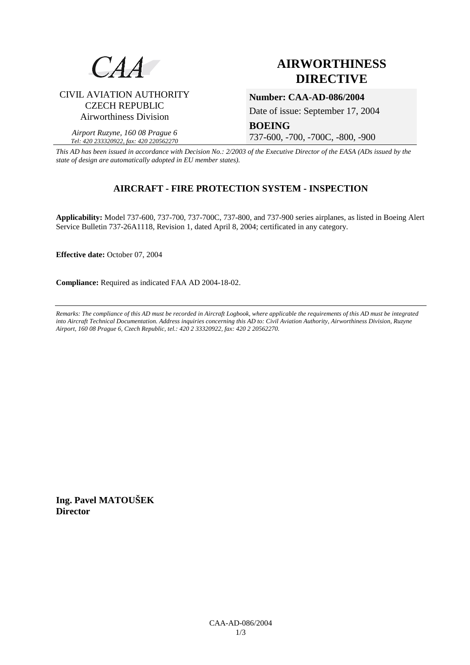

# **AIRWORTHINESS DIRECTIVE**

# CIVIL AVIATION AUTHORITY CZECH REPUBLIC Airworthiness Division

*Airport Ruzyne, 160 08 Prague 6 Tel: 420 233320922, fax: 420 220562270*

**Number: CAA-AD-086/2004** 

Date of issue: September 17, 2004

**BOEING** 

737-600, -700, -700C, -800, -900

*This AD has been issued in accordance with Decision No.: 2/2003 of the Executive Director of the EASA (ADs issued by the state of design are automatically adopted in EU member states).*

# **AIRCRAFT - FIRE PROTECTION SYSTEM - INSPECTION**

**Applicability:** Model 737-600, 737-700, 737-700C, 737-800, and 737-900 series airplanes, as listed in Boeing Alert Service Bulletin 737-26A1118, Revision 1, dated April 8, 2004; certificated in any category.

**Effective date:** October 07, 2004

**Compliance:** Required as indicated FAA AD 2004-18-02.

*Remarks: The compliance of this AD must be recorded in Aircraft Logbook, where applicable the requirements of this AD must be integrated into Aircraft Technical Documentation. Address inquiries concerning this AD to: Civil Aviation Authority, Airworthiness Division, Ruzyne Airport, 160 08 Prague 6, Czech Republic, tel.: 420 2 33320922, fax: 420 2 20562270.* 

**Ing. Pavel MATOUŠEK Director**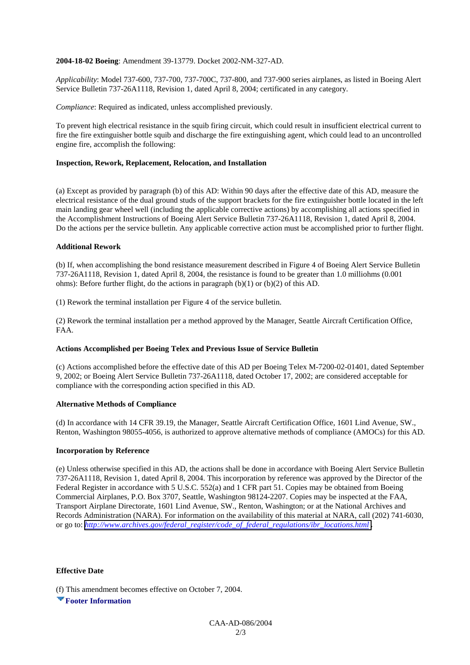### **2004-18-02 Boeing**: Amendment 39-13779. Docket 2002-NM-327-AD.

*Applicability*: Model 737-600, 737-700, 737-700C, 737-800, and 737-900 series airplanes, as listed in Boeing Alert Service Bulletin 737-26A1118, Revision 1, dated April 8, 2004; certificated in any category.

*Compliance*: Required as indicated, unless accomplished previously.

To prevent high electrical resistance in the squib firing circuit, which could result in insufficient electrical current to fire the fire extinguisher bottle squib and discharge the fire extinguishing agent, which could lead to an uncontrolled engine fire, accomplish the following:

### **Inspection, Rework, Replacement, Relocation, and Installation**

(a) Except as provided by paragraph (b) of this AD: Within 90 days after the effective date of this AD, measure the electrical resistance of the dual ground studs of the support brackets for the fire extinguisher bottle located in the left main landing gear wheel well (including the applicable corrective actions) by accomplishing all actions specified in the Accomplishment Instructions of Boeing Alert Service Bulletin 737-26A1118, Revision 1, dated April 8, 2004. Do the actions per the service bulletin. Any applicable corrective action must be accomplished prior to further flight.

#### **Additional Rework**

(b) If, when accomplishing the bond resistance measurement described in Figure 4 of Boeing Alert Service Bulletin 737-26A1118, Revision 1, dated April 8, 2004, the resistance is found to be greater than 1.0 milliohms (0.001 ohms): Before further flight, do the actions in paragraph (b)(1) or (b)(2) of this AD.

(1) Rework the terminal installation per Figure 4 of the service bulletin.

(2) Rework the terminal installation per a method approved by the Manager, Seattle Aircraft Certification Office, FAA.

## **Actions Accomplished per Boeing Telex and Previous Issue of Service Bulletin**

(c) Actions accomplished before the effective date of this AD per Boeing Telex M-7200-02-01401, dated September 9, 2002; or Boeing Alert Service Bulletin 737-26A1118, dated October 17, 2002; are considered acceptable for compliance with the corresponding action specified in this AD.

## **Alternative Methods of Compliance**

(d) In accordance with 14 CFR 39.19, the Manager, Seattle Aircraft Certification Office, 1601 Lind Avenue, SW., Renton, Washington 98055-4056, is authorized to approve alternative methods of compliance (AMOCs) for this AD.

#### **Incorporation by Reference**

(e) Unless otherwise specified in this AD, the actions shall be done in accordance with Boeing Alert Service Bulletin 737-26A1118, Revision 1, dated April 8, 2004. This incorporation by reference was approved by the Director of the Federal Register in accordance with 5 U.S.C. 552(a) and 1 CFR part 51. Copies may be obtained from Boeing Commercial Airplanes, P.O. Box 3707, Seattle, Washington 98124-2207. Copies may be inspected at the FAA, Transport Airplane Directorate, 1601 Lind Avenue, SW., Renton, Washington; or at the National Archives and Records Administration (NARA). For information on the availability of this material at NARA, call (202) 741-6030, or go to: *[http://www.archives.gov/federal\\_register/code\\_of\\_federal\\_regulations/ibr\\_locations.html](http://www.archives.gov/federal_register/code_of_federal_regulations/ibr_locations.html) .*

#### **Effective Date**

(f) This amendment becomes effective on October 7, 2004.

**Footer Information**